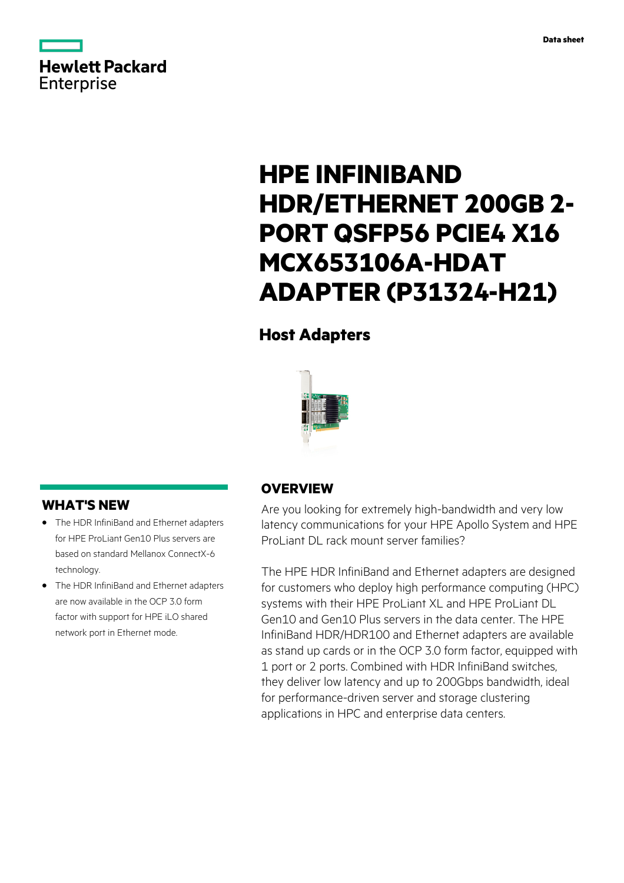

# **HPE INFINIBAND HDR/ETHERNET 200GB 2- PORT QSFP56 PCIE4 X16 MCX653106A-HDAT ADAPTER (P31324-H21)**

# **Host Adapters**



# **WHAT'S NEW**

- **·** The HDR InfiniBand and Ethernet adapters for HPE ProLiant Gen10 Plus servers are based on standard Mellanox ConnectX-6 technology.
- **·** The HDR InfiniBand and Ethernet adapters are now available in the OCP 3.0 form factor with support for HPE iLO shared network port in Ethernet mode.

### **OVERVIEW**

Are you looking for extremely high-bandwidth and very low latency communications for your HPE Apollo System and HPE ProLiant DL rack mount server families?

The HPE HDR InfiniBand and Ethernet adapters are designed for customers who deploy high performance computing (HPC) systems with their HPE ProLiant XL and HPE ProLiant DL Gen10 and Gen10 Plus servers in the data center. The HPE InfiniBand HDR/HDR100 and Ethernet adapters are available as stand up cards or in the OCP 3.0 form factor, equipped with 1 port or 2 ports. Combined with HDR InfiniBand switches, they deliver low latency and up to 200Gbps bandwidth, ideal for performance-driven server and storage clustering applications in HPC and enterprise data centers.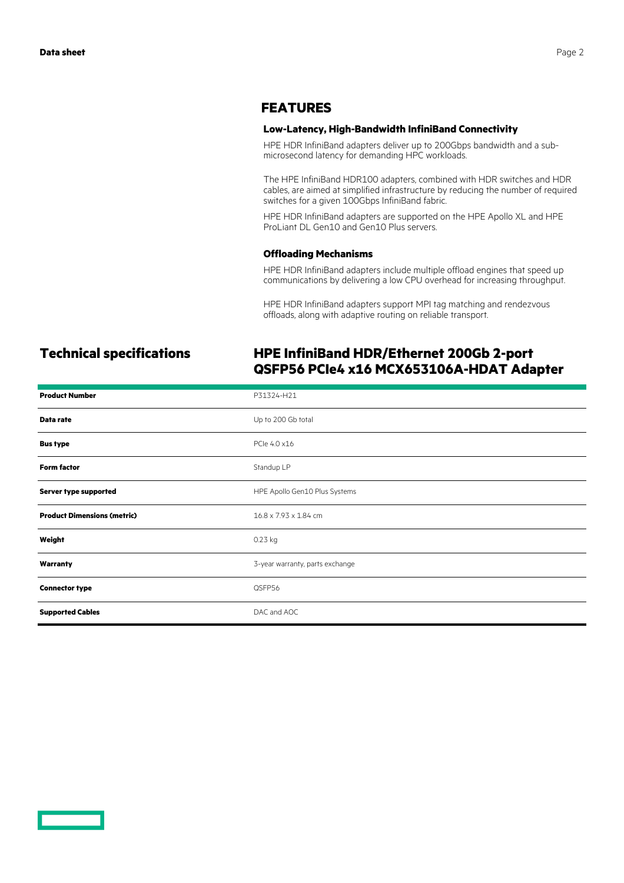### **FEATURES**

### **Low-Latency, High-Bandwidth InfiniBand Connectivity**

HPE HDR InfiniBand adapters deliver up to 200Gbps bandwidth and a submicrosecond latency for demanding HPC workloads.

The HPE InfiniBand HDR100 adapters, combined with HDR switches and HDR cables, are aimed at simplified infrastructure by reducing the number of required switches for a given 100Gbps InfiniBand fabric.

HPE HDR InfiniBand adapters are supported on the HPE Apollo XL and HPE ProLiant DL Gen10 and Gen10 Plus servers.

### **Offloading Mechanisms**

HPE HDR InfiniBand adapters include multiple offload engines that speed up communications by delivering a low CPU overhead for increasing throughput.

HPE HDR InfiniBand adapters support MPI tag matching and rendezvous offloads, along with adaptive routing on reliable transport.

### **Technical specifications HPE InfiniBand HDR/Ethernet 200Gb 2-port QSFP56 PCIe4 x16 MCX653106A-HDAT Adapter**

| <b>Product Number</b>              | P31324-H21                      |
|------------------------------------|---------------------------------|
| Data rate                          | Up to 200 Gb total              |
| <b>Bus type</b>                    | PCle 4.0 x16                    |
| <b>Form factor</b>                 | Standup LP                      |
| Server type supported              | HPE Apollo Gen10 Plus Systems   |
| <b>Product Dimensions (metric)</b> | 16.8 x 7.93 x 1.84 cm           |
| Weight                             | $0.23$ kg                       |
| Warranty                           | 3-year warranty, parts exchange |
| <b>Connector type</b>              | QSFP56                          |
| <b>Supported Cables</b>            | DAC and AOC                     |